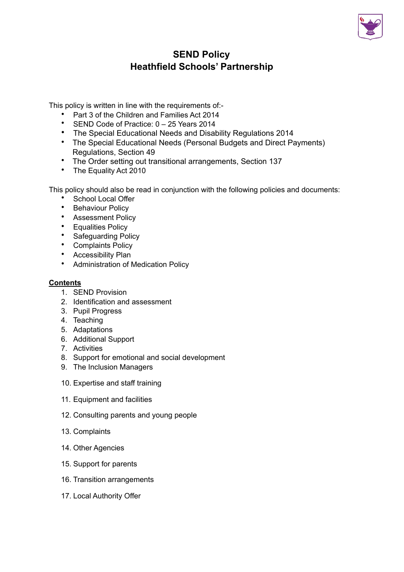

# **SEND Policy Heathfield Schools' Partnership**

This policy is written in line with the requirements of:-

- Part 3 of the Children and Families Act 2014
- SEND Code of Practice: 0 25 Years 2014
- The Special Educational Needs and Disability Regulations 2014
- The Special Educational Needs (Personal Budgets and Direct Payments) Regulations, Section 49
- The Order setting out transitional arrangements, Section 137
- The Equality Act 2010

This policy should also be read in conjunction with the following policies and documents:

- School Local Offer
- Behaviour Policy
- Assessment Policy
- Equalities Policy
- Safeguarding Policy
- Complaints Policy
- Accessibility Plan
- Administration of Medication Policy

#### **Contents**

- 1. SEND Provision
- 2. Identification and assessment
- 3. Pupil Progress
- 4. Teaching
- 5. Adaptations
- 6. Additional Support
- 7. Activities
- 8. Support for emotional and social development
- 9. The Inclusion Managers
- 10. Expertise and staff training
- 11. Equipment and facilities
- 12. Consulting parents and young people
- 13. Complaints
- 14. Other Agencies
- 15. Support for parents
- 16. Transition arrangements
- 17. Local Authority Offer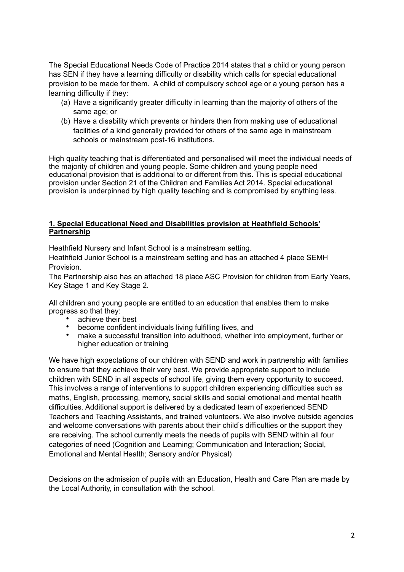The Special Educational Needs Code of Practice 2014 states that a child or young person has SEN if they have a learning difficulty or disability which calls for special educational provision to be made for them. A child of compulsory school age or a young person has a learning difficulty if they:

- (a) Have a significantly greater difficulty in learning than the majority of others of the same age; or
- (b) Have a disability which prevents or hinders then from making use of educational facilities of a kind generally provided for others of the same age in mainstream schools or mainstream post-16 institutions.

High quality teaching that is differentiated and personalised will meet the individual needs of the majority of children and young people. Some children and young people need educational provision that is additional to or different from this. This is special educational provision under Section 21 of the Children and Families Act 2014. Special educational provision is underpinned by high quality teaching and is compromised by anything less.

#### **1. Special Educational Need and Disabilities provision at Heathfield Schools' Partnership**

Heathfield Nursery and Infant School is a mainstream setting.

Heathfield Junior School is a mainstream setting and has an attached 4 place SEMH Provision.

The Partnership also has an attached 18 place ASC Provision for children from Early Years, Key Stage 1 and Key Stage 2.

All children and young people are entitled to an education that enables them to make progress so that they:

- achieve their best
- become confident individuals living fulfilling lives, and
- make a successful transition into adulthood, whether into employment, further or higher education or training

We have high expectations of our children with SEND and work in partnership with families to ensure that they achieve their very best. We provide appropriate support to include children with SEND in all aspects of school life, giving them every opportunity to succeed. This involves a range of interventions to support children experiencing difficulties such as maths, English, processing, memory, social skills and social emotional and mental health difficulties. Additional support is delivered by a dedicated team of experienced SEND Teachers and Teaching Assistants, and trained volunteers. We also involve outside agencies and welcome conversations with parents about their child's difficulties or the support they are receiving. The school currently meets the needs of pupils with SEND within all four categories of need (Cognition and Learning; Communication and Interaction; Social, Emotional and Mental Health; Sensory and/or Physical)

Decisions on the admission of pupils with an Education, Health and Care Plan are made by the Local Authority, in consultation with the school.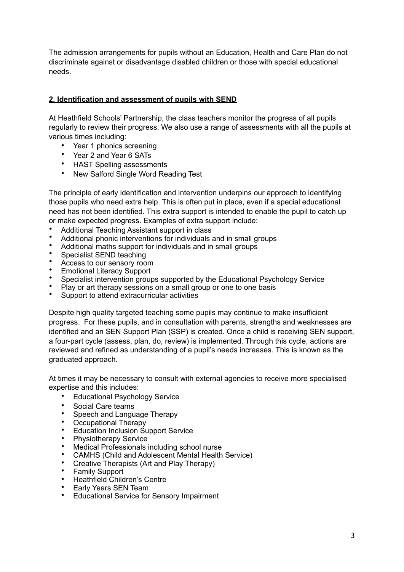The admission arrangements for pupils without an Education, Health and Care Plan do not discriminate against or disadvantage disabled children or those with special educational needs.

# **2. Identification and assessment of pupils with SEND**

At Heathfield Schools' Partnership, the class teachers monitor the progress of all pupils regularly to review their progress. We also use a range of assessments with all the pupils at various times including:

- Year 1 phonics screening
- Year 2 and Year 6 SATs
- HAST Spelling assessments
- New Salford Single Word Reading Test

The principle of early identification and intervention underpins our approach to identifying those pupils who need extra help. This is often put in place, even if a special educational need has not been identified. This extra support is intended to enable the pupil to catch up or make expected progress. Examples of extra support include:

- Additional Teaching Assistant support in class
- Additional phonic interventions for individuals and in small groups
- Additional maths support for individuals and in small groups
- Specialist SEND teaching
- Access to our sensory room
- Emotional Literacy Support
- Specialist intervention groups supported by the Educational Psychology Service
- Play or art therapy sessions on a small group or one to one basis
- Support to attend extracurricular activities

Despite high quality targeted teaching some pupils may continue to make insufficient progress. For these pupils, and in consultation with parents, strengths and weaknesses are identified and an SEN Support Plan (SSP) is created. Once a child is receiving SEN support, a four-part cycle (assess, plan, do, review) is implemented. Through this cycle, actions are reviewed and refined as understanding of a pupil's needs increases. This is known as the graduated approach.

At times it may be necessary to consult with external agencies to receive more specialised expertise and this includes:

- Educational Psychology Service
- Social Care teams
- Speech and Language Therapy
- Occupational Therapy
- Education Inclusion Support Service
- Physiotherapy Service
- Medical Professionals including school nurse
- CAMHS (Child and Adolescent Mental Health Service)
- Creative Therapists (Art and Play Therapy)
- Family Support
- Heathfield Children's Centre
- Early Years SEN Team
- Educational Service for Sensory Impairment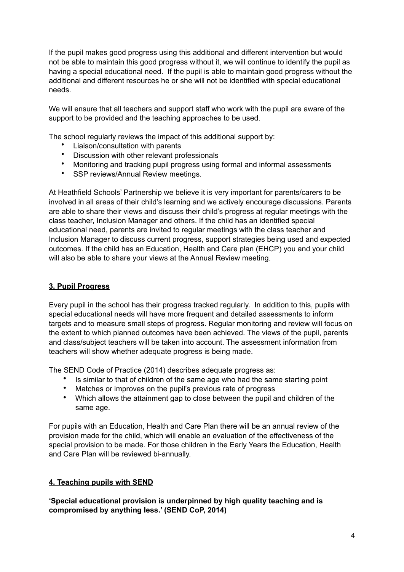If the pupil makes good progress using this additional and different intervention but would not be able to maintain this good progress without it, we will continue to identify the pupil as having a special educational need. If the pupil is able to maintain good progress without the additional and different resources he or she will not be identified with special educational needs.

We will ensure that all teachers and support staff who work with the pupil are aware of the support to be provided and the teaching approaches to be used.

The school regularly reviews the impact of this additional support by:

- Liaison/consultation with parents
- Discussion with other relevant professionals
- Monitoring and tracking pupil progress using formal and informal assessments
- SSP reviews/Annual Review meetings.

At Heathfield Schools' Partnership we believe it is very important for parents/carers to be involved in all areas of their child's learning and we actively encourage discussions. Parents are able to share their views and discuss their child's progress at regular meetings with the class teacher, Inclusion Manager and others. If the child has an identified special educational need, parents are invited to regular meetings with the class teacher and Inclusion Manager to discuss current progress, support strategies being used and expected outcomes. If the child has an Education, Health and Care plan (EHCP) you and your child will also be able to share your views at the Annual Review meeting.

### **3. Pupil Progress**

Every pupil in the school has their progress tracked regularly. In addition to this, pupils with special educational needs will have more frequent and detailed assessments to inform targets and to measure small steps of progress. Regular monitoring and review will focus on the extent to which planned outcomes have been achieved. The views of the pupil, parents and class/subject teachers will be taken into account. The assessment information from teachers will show whether adequate progress is being made.

The SEND Code of Practice (2014) describes adequate progress as:

- Is similar to that of children of the same age who had the same starting point
- Matches or improves on the pupil's previous rate of progress
- Which allows the attainment gap to close between the pupil and children of the same age.

For pupils with an Education, Health and Care Plan there will be an annual review of the provision made for the child, which will enable an evaluation of the effectiveness of the special provision to be made. For those children in the Early Years the Education, Health and Care Plan will be reviewed bi-annually.

### **4. Teaching pupils with SEND**

**'Special educational provision is underpinned by high quality teaching and is compromised by anything less.' (SEND CoP, 2014)**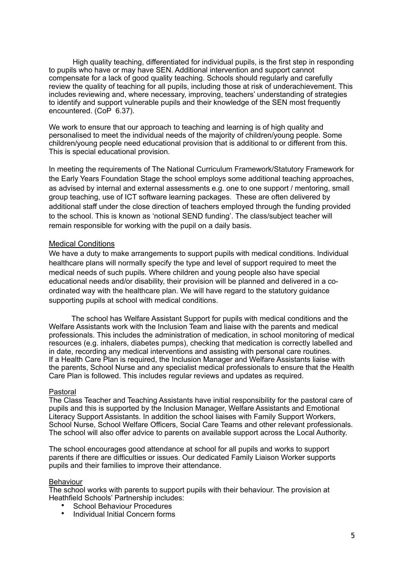High quality teaching, differentiated for individual pupils, is the first step in responding to pupils who have or may have SEN. Additional intervention and support cannot compensate for a lack of good quality teaching. Schools should regularly and carefully review the quality of teaching for all pupils, including those at risk of underachievement. This includes reviewing and, where necessary, improving, teachers' understanding of strategies to identify and support vulnerable pupils and their knowledge of the SEN most frequently encountered. (CoP 6.37).

We work to ensure that our approach to teaching and learning is of high quality and personalised to meet the individual needs of the majority of children/young people. Some children/young people need educational provision that is additional to or different from this. This is special educational provision.

In meeting the requirements of The National Curriculum Framework/Statutory Framework for the Early Years Foundation Stage the school employs some additional teaching approaches, as advised by internal and external assessments e.g. one to one support / mentoring, small group teaching, use of ICT software learning packages. These are often delivered by additional staff under the close direction of teachers employed through the funding provided to the school. This is known as 'notional SEND funding'. The class/subject teacher will remain responsible for working with the pupil on a daily basis.

#### Medical Conditions

We have a duty to make arrangements to support pupils with medical conditions. Individual healthcare plans will normally specify the type and level of support required to meet the medical needs of such pupils. Where children and young people also have special educational needs and/or disability, their provision will be planned and delivered in a coordinated way with the healthcare plan. We will have regard to the statutory guidance supporting pupils at school with medical conditions.

 The school has Welfare Assistant Support for pupils with medical conditions and the Welfare Assistants work with the Inclusion Team and liaise with the parents and medical professionals. This includes the administration of medication, in school monitoring of medical resources (e.g. inhalers, diabetes pumps), checking that medication is correctly labelled and in date, recording any medical interventions and assisting with personal care routines. If a Health Care Plan is required, the Inclusion Manager and Welfare Assistants liaise with the parents, School Nurse and any specialist medical professionals to ensure that the Health Care Plan is followed. This includes regular reviews and updates as required.

#### Pastoral

The Class Teacher and Teaching Assistants have initial responsibility for the pastoral care of pupils and this is supported by the Inclusion Manager, Welfare Assistants and Emotional Literacy Support Assistants. In addition the school liaises with Family Support Workers, School Nurse, School Welfare Officers, Social Care Teams and other relevant professionals. The school will also offer advice to parents on available support across the Local Authority.

The school encourages good attendance at school for all pupils and works to support parents if there are difficulties or issues. Our dedicated Family Liaison Worker supports pupils and their families to improve their attendance.

#### Behaviour

The school works with parents to support pupils with their behaviour. The provision at Heathfield Schools' Partnership includes:

- School Behaviour Procedures
- Individual Initial Concern forms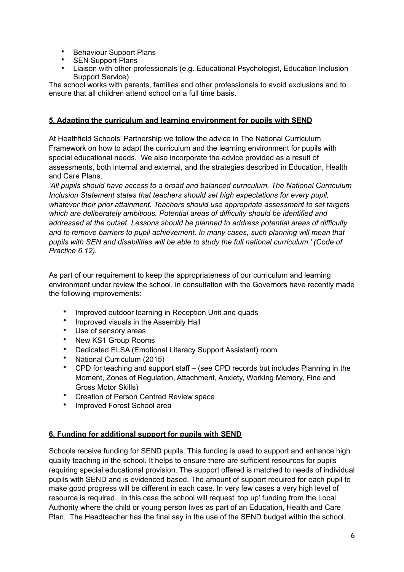- Behaviour Support Plans
- **SEN Support Plans**
- Liaison with other professionals (e.g. Educational Psychologist, Education Inclusion Support Service)

The school works with parents, families and other professionals to avoid exclusions and to ensure that all children attend school on a full time basis.

# **5. Adapting the curriculum and learning environment for pupils with SEND**

At Heathfield Schools' Partnership we follow the advice in The National Curriculum Framework on how to adapt the curriculum and the learning environment for pupils with special educational needs. We also incorporate the advice provided as a result of assessments, both internal and external, and the strategies described in Education, Health and Care Plans.

*'All pupils should have access to a broad and balanced curriculum. The National Curriculum Inclusion Statement states that teachers should set high expectations for every pupil, whatever their prior attainment. Teachers should use appropriate assessment to set targets which are deliberately ambitious. Potential areas of difficulty should be identified and addressed at the outset. Lessons should be planned to address potential areas of difficulty and to remove barriers to pupil achievement. In many cases, such planning will mean that pupils with SEN and disabilities will be able to study the full national curriculum.' (Code of Practice 6.12).* 

As part of our requirement to keep the appropriateness of our curriculum and learning environment under review the school, in consultation with the Governors have recently made the following improvements:

- Improved outdoor learning in Reception Unit and quads
- Improved visuals in the Assembly Hall
- Use of sensory areas
- New KS1 Group Rooms
- Dedicated ELSA (Emotional Literacy Support Assistant) room
- National Curriculum (2015)
- CPD for teaching and support staff (see CPD records but includes Planning in the Moment, Zones of Regulation, Attachment, Anxiety, Working Memory, Fine and Gross Motor Skills)
- Creation of Person Centred Review space
- Improved Forest School area

# **6. Funding for additional support for pupils with SEND**

Schools receive funding for SEND pupils. This funding is used to support and enhance high quality teaching in the school. It helps to ensure there are sufficient resources for pupils requiring special educational provision. The support offered is matched to needs of individual pupils with SEND and is evidenced based. The amount of support required for each pupil to make good progress will be different in each case. In very few cases a very high level of resource is required. In this case the school will request 'top up' funding from the Local Authority where the child or young person lives as part of an Education, Health and Care Plan. The Headteacher has the final say in the use of the SEND budget within the school.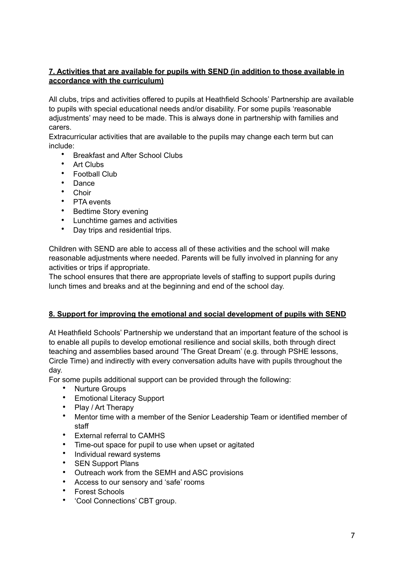# **7. Activities that are available for pupils with SEND (in addition to those available in accordance with the curriculum)**

All clubs, trips and activities offered to pupils at Heathfield Schools' Partnership are available to pupils with special educational needs and/or disability. For some pupils 'reasonable adjustments' may need to be made. This is always done in partnership with families and carers.

Extracurricular activities that are available to the pupils may change each term but can include:

- Breakfast and After School Clubs
- **Art Clubs**
- Football Club
- Dance
- Choir
- PTA events<br>• Redtime Sto
- Bedtime Story evening
- Lunchtime games and activities
- Day trips and residential trips.

Children with SEND are able to access all of these activities and the school will make reasonable adjustments where needed. Parents will be fully involved in planning for any activities or trips if appropriate.

The school ensures that there are appropriate levels of staffing to support pupils during lunch times and breaks and at the beginning and end of the school day.

### **8. Support for improving the emotional and social development of pupils with SEND**

At Heathfield Schools' Partnership we understand that an important feature of the school is to enable all pupils to develop emotional resilience and social skills, both through direct teaching and assemblies based around 'The Great Dream' (e.g. through PSHE lessons, Circle Time) and indirectly with every conversation adults have with pupils throughout the day.

For some pupils additional support can be provided through the following:

- Nurture Groups
- Emotional Literacy Support
- Play / Art Therapy
- Mentor time with a member of the Senior Leadership Team or identified member of staff
- External referral to CAMHS
- Time-out space for pupil to use when upset or agitated
- Individual reward systems
- SEN Support Plans
- Outreach work from the SEMH and ASC provisions
- Access to our sensory and 'safe' rooms
- Forest Schools
- 'Cool Connections' CBT group.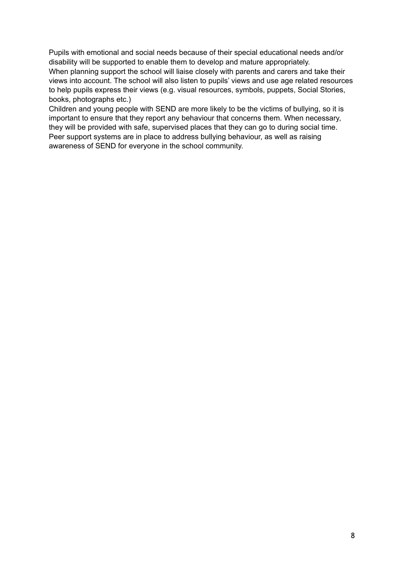Pupils with emotional and social needs because of their special educational needs and/or disability will be supported to enable them to develop and mature appropriately. When planning support the school will liaise closely with parents and carers and take their views into account. The school will also listen to pupils' views and use age related resources to help pupils express their views (e.g. visual resources, symbols, puppets, Social Stories, books, photographs etc.)

Children and young people with SEND are more likely to be the victims of bullying, so it is important to ensure that they report any behaviour that concerns them. When necessary, they will be provided with safe, supervised places that they can go to during social time. Peer support systems are in place to address bullying behaviour, as well as raising awareness of SEND for everyone in the school community.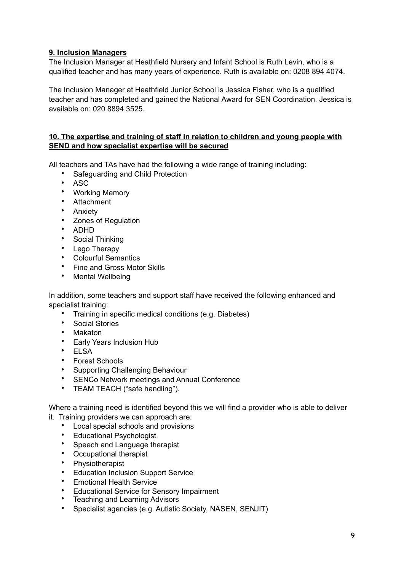# **9. Inclusion Managers**

The Inclusion Manager at Heathfield Nursery and Infant School is Ruth Levin, who is a qualified teacher and has many years of experience. Ruth is available on: 0208 894 4074.

The Inclusion Manager at Heathfield Junior School is Jessica Fisher, who is a qualified teacher and has completed and gained the National Award for SEN Coordination. Jessica is available on: 020 8894 3525.

#### **10. The expertise and training of staff in relation to children and young people with SEND and how specialist expertise will be secured**

All teachers and TAs have had the following a wide range of training including:

- Safeguarding and Child Protection
- ASC<br>• Work
- Working Memory
- Attachment
- Anxiety
- Zones of Regulation
- ADHD
- Social Thinking
- Lego Therapy
- Colourful Semantics
- Fine and Gross Motor Skills
- Mental Wellbeing

In addition, some teachers and support staff have received the following enhanced and specialist training:

- Training in specific medical conditions (e.g. Diabetes)
- Social Stories
- Makaton
- Early Years Inclusion Hub
- ELSA
- Forest Schools
- Supporting Challenging Behaviour
- SENCo Network meetings and Annual Conference
- TEAM TEACH ("safe handling").

Where a training need is identified beyond this we will find a provider who is able to deliver it. Training providers we can approach are:

- Local special schools and provisions
- Educational Psychologist
- Speech and Language therapist
- Occupational therapist
- Physiotherapist
- Education Inclusion Support Service
- Emotional Health Service
- Educational Service for Sensory Impairment
- Teaching and Learning Advisors
- Specialist agencies (e.g. Autistic Society, NASEN, SENJIT)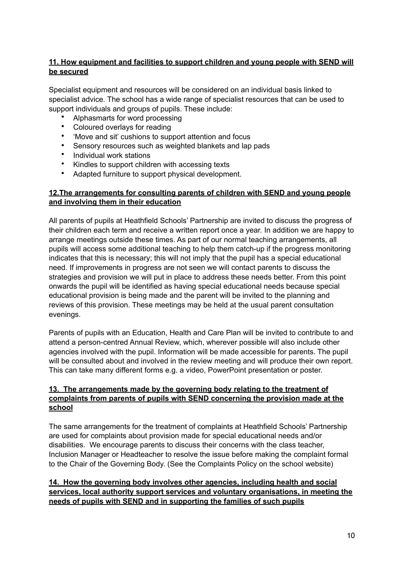# **11. How equipment and facilities to support children and young people with SEND will be secured**

Specialist equipment and resources will be considered on an individual basis linked to specialist advice. The school has a wide range of specialist resources that can be used to support individuals and groups of pupils. These include:

- Alphasmarts for word processing
- Coloured overlays for reading
- 'Move and sit' cushions to support attention and focus
- Sensory resources such as weighted blankets and lap pads<br>• Individual work atotions
- Individual work stations
- Kindles to support children with accessing texts
- Adapted furniture to support physical development.

#### **12.The arrangements for consulting parents of children with SEND and young people and involving them in their education**

All parents of pupils at Heathfield Schools' Partnership are invited to discuss the progress of their children each term and receive a written report once a year. In addition we are happy to arrange meetings outside these times. As part of our normal teaching arrangements, all pupils will access some additional teaching to help them catch-up if the progress monitoring indicates that this is necessary; this will not imply that the pupil has a special educational need. If improvements in progress are not seen we will contact parents to discuss the strategies and provision we will put in place to address these needs better. From this point onwards the pupil will be identified as having special educational needs because special educational provision is being made and the parent will be invited to the planning and reviews of this provision. These meetings may be held at the usual parent consultation evenings.

Parents of pupils with an Education, Health and Care Plan will be invited to contribute to and attend a person-centred Annual Review, which, wherever possible will also include other agencies involved with the pupil. Information will be made accessible for parents. The pupil will be consulted about and involved in the review meeting and will produce their own report. This can take many different forms e.g. a video, PowerPoint presentation or poster.

#### **13. The arrangements made by the governing body relating to the treatment of complaints from parents of pupils with SEND concerning the provision made at the school**

The same arrangements for the treatment of complaints at Heathfield Schools' Partnership are used for complaints about provision made for special educational needs and/or disabilities. We encourage parents to discuss their concerns with the class teacher, Inclusion Manager or Headteacher to resolve the issue before making the complaint formal to the Chair of the Governing Body. (See the Complaints Policy on the school website)

### **14. How the governing body involves other agencies, including health and social services, local authority support services and voluntary organisations, in meeting the needs of pupils with SEND and in supporting the families of such pupils**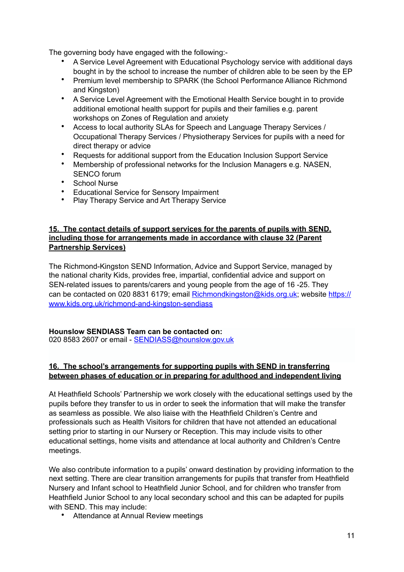The governing body have engaged with the following:-

- A Service Level Agreement with Educational Psychology service with additional days bought in by the school to increase the number of children able to be seen by the EP
- Premium level membership to SPARK (the School Performance Alliance Richmond and Kingston)
- A Service Level Agreement with the Emotional Health Service bought in to provide additional emotional health support for pupils and their families e.g. parent workshops on Zones of Regulation and anxiety
- Access to local authority SLAs for Speech and Language Therapy Services / Occupational Therapy Services / Physiotherapy Services for pupils with a need for direct therapy or advice
- Requests for additional support from the Education Inclusion Support Service
- Membership of professional networks for the Inclusion Managers e.g. NASEN, SENCO forum
- School Nurse
- Educational Service for Sensory Impairment
- Play Therapy Service and Art Therapy Service

#### **15. The contact details of support services for the parents of pupils with SEND, including those for arrangements made in accordance with clause 32 (Parent Partnership Services)**

The Richmond-Kingston SEND Information, Advice and Support Service, managed by the national charity Kids, provides free, impartial, confidential advice and support on SEN-related issues to parents/carers and young people from the age of 16 -25. They can be contacted on 020 8831 6179; email [Richmondkingston@kids.org.uk;](mailto:Richmondkingston@kids.org.uk) website [https://](https://www.kids.org.uk/richmond-and-kingston-sendiass) [www.kids.org.uk/richmond-and-kingston-sendiass](https://www.kids.org.uk/richmond-and-kingston-sendiass)

#### **Hounslow SENDIASS Team can be contacted on:**

020 8583 2607 or email - [SENDIASS@hounslow.gov.uk](mailto:SENDIASS@hounslow.gov.uk)

### **16. The school's arrangements for supporting pupils with SEND in transferring between phases of education or in preparing for adulthood and independent living**

At Heathfield Schools' Partnership we work closely with the educational settings used by the pupils before they transfer to us in order to seek the information that will make the transfer as seamless as possible. We also liaise with the Heathfield Children's Centre and professionals such as Health Visitors for children that have not attended an educational setting prior to starting in our Nursery or Reception. This may include visits to other educational settings, home visits and attendance at local authority and Children's Centre meetings.

We also contribute information to a pupils' onward destination by providing information to the next setting. There are clear transition arrangements for pupils that transfer from Heathfield Nursery and Infant school to Heathfield Junior School, and for children who transfer from Heathfield Junior School to any local secondary school and this can be adapted for pupils with SEND. This may include:

• Attendance at Annual Review meetings